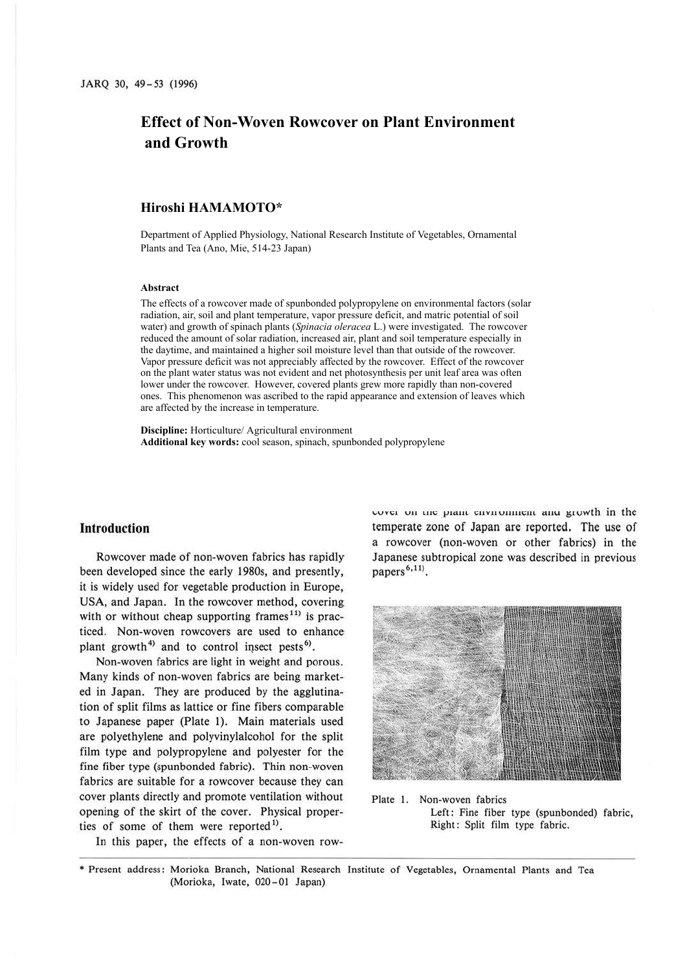# **Effect of Non-Woven Rowcover on Plant Environment and Growth**

# **Hiroshi HAMAMOTO\***

Department of Applied Physiology, National Research Institute of Vegetables, Ornamental Plants and Tea (Ano, Mie, 514-23 Japan)

#### **Abstract**

The effects of a rowcover made of spunbonded polypropylene on environmental factors (solar radiation, air, soil and plant temperature, vapor pressure deficit, and matric potential of soil water) and growth of spinach plants (*Spinacia oleracea* L.) were investigated. The rowcover reduced the amount of solar radiation, increased air, plant and soil temperature especially in the daytime, and maintained a higher soil moisture level than that outside of the rowcover. Vapor pressure deficit was not appreciably affected by the rowcover. Effect of the rowcover on the plant water status was not evident and net photosynthesis per unit leaf area was often lower under the rowcover. However, covered plants grew more rapidly than non-covered ones. This phenomenon was ascribed to the rapid appearance and extension of leaves which are affected by the increase in temperature.

**Discipline:** Horticulture/ Agricultural environment **Additional key words:** cool season, spinach, spunbonded polypropylene

# **Introduction**

Rowcover made of non-woven fabrics has rapidly been developed since the early 1980s, and presently, it is widely used for vegetable production in Europe, USA, and Japan. In the rowcover method, covering with or without cheap supporting frames<sup>11)</sup> is practiced. Non-woven rowcovers are used to enhance plant growth<sup>4)</sup> and to control insect pests<sup>6)</sup>.

Non-woven fabrics are light in weight and porous. Many kinds of non-woven fabrics are being marketed in Japan. They are produced by the agglutination of split films as lattice or fine fibers comparable to Japanese paper (Plate I). Main materials used are polyethylene and polyvinylalcohol for the split film type and polypropylene and polyester for the fine fiber type (spunbonded fabric). Thin non-woven fabrics are suitable for a rowcover because they can cover plants directly and promote ventilation without opening of the skirt of the cover. Physical properties of some of them were reported<sup>1)</sup>.

In this paper, the effects of a non-woven row-

cover on the plant environment and growth in the temperate zone of Japan are reported. The use of a rowcover (non-woven or other fabrics) in the Japanese subtropical zone was described in previous papers<sup>6,11)</sup>.



Plate I. Non-woven fabrics Left: Fine fiber type (spunbonded) fabric, Right: Split film type fabric.

• Present address: Morioka Branch, National Research Institute of Vegetables, Ornamental Plants and Tea (Morioka, Iwate, 020-01 Japan)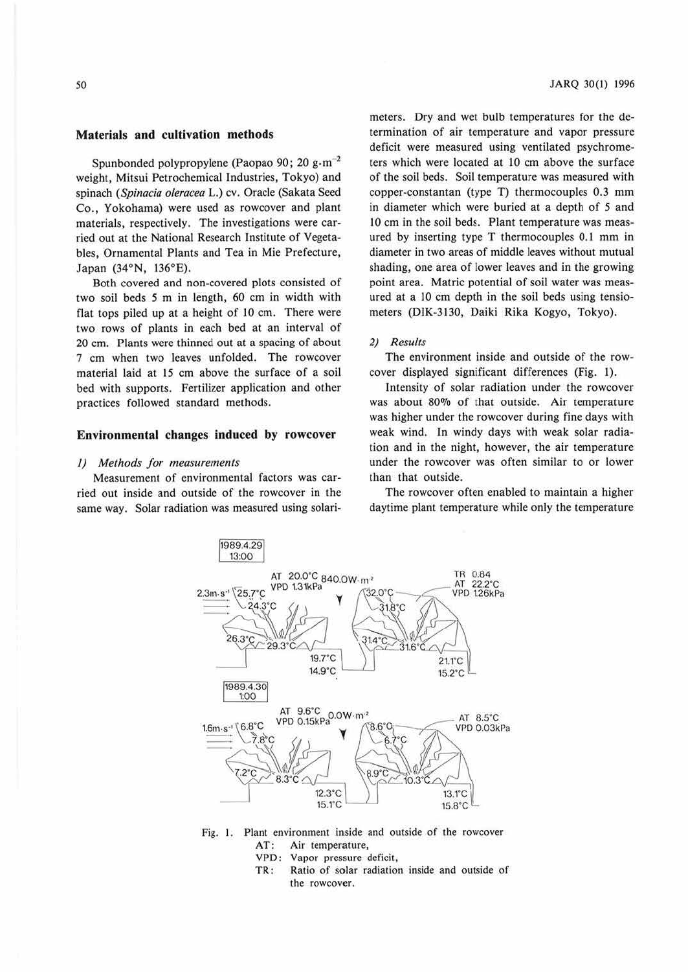Spunbonded polypropylene (Paopao 90; 20 g $\cdot$ m<sup>-2</sup> weight, Mitsui Petrochemical Industries, Tokyo) and spinach *(Spinacia oleracea* L.) cv. Oracle (Sakata Seed Co., Yokohama) were used as rowcover and plant materials, respectively. The investigations were carried out at the National Research Institute of Vegetables, Ornamental Plants and Tea in Mie Prefecture, Japan (34°N, 136°E).

Both covered and non-covered plots consisted of two soil beds *5* m in length, 60 cm in width with flat tops piled up at a height of 10 cm. There were two rows of plants in each bed at an interval of 20 cm. Plants were thinned out at a spacing of about 7 cm when two leaves unfolded. The rowcover material laid at 15 cm above the surface of a soil bed with supports. Fertilizer application and other practices followed standard methods.

#### **Environmental changes induced by rowcover**

#### *I) Methods for measurements*

Measurement of environmental factors was carried out inside and outside of the rowcover in the same way. Solar radiation was measured using solarimeters. Dry and wet bulb temperatures for the determination of air temperature and vapor pressure deficit were measured using ventilated psychrometers which were located at 10 cm above the surface of the soil beds. Soil temperature was measured with copper-constantan (type T) thermocouples 0.3 mm in diameter which were buried at a depth of *5* and 10 cm in the soil beds. Plant temperature was measured by inserting type T thermocouples 0.1 mm in diameter in two areas of middle leaves without mutual shading, one area of lower leaves and in the growing point area. Matric potential of soil water was measured at a IO cm depth in the soil beds using tensiometers (DIK-3130, Daiki Rika Kogyo, Tokyo).

## *2) Results*

The environment inside and outside of the rowcover displayed significant differences (Fig. 1).

Intensity of solar radiation under the rowcover was about 80% of that outside. Air temperature was higher under the rowcover during fine days with weak wind. In windy days with weak solar radiation and in the night, however, the air temperature under the rowcover was often similar to or lower than that outside.

The rowcover often enabled to maintain a higher daytime plant temperature while only the temperature



Fig. I. Plant environment inside and outside of the rowcover AT: Air temperature,

- VPD: Vapor pressure deficit,
- TR : Ratio of solar radiation inside and outside of the rowcover.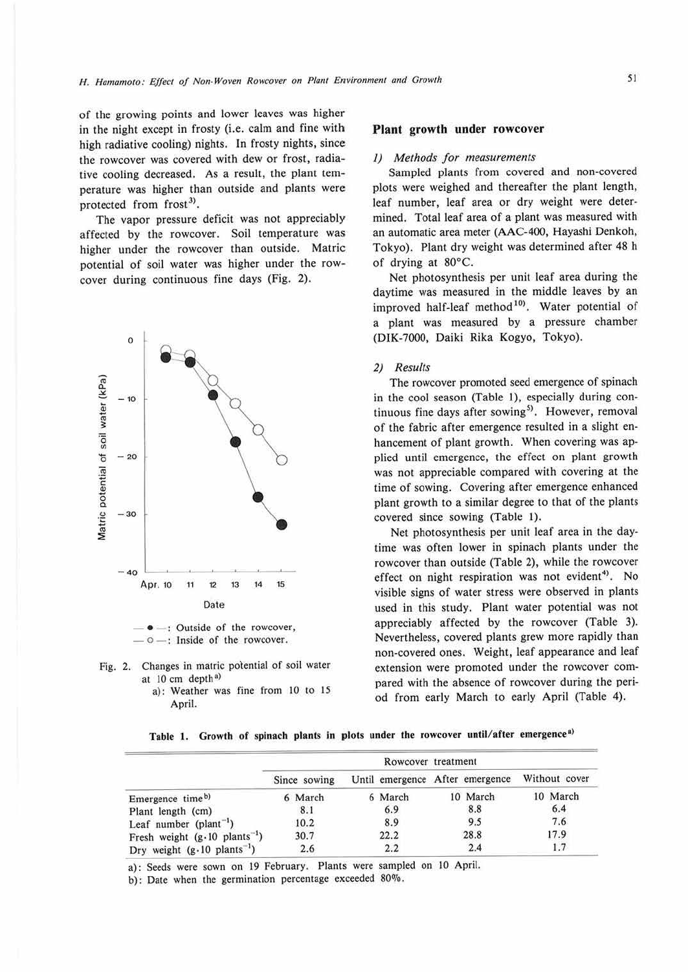of the growing points and lower leaves was higher in the night except in frosty (i.e. calm and fine with high radiative cooling) nights. In frosty nights, since the rowcover was covered with dew or frost, radiative cooling decreased. As a result, the plant temperature was higher than outside and plants were protected from frost<sup>3)</sup>.

The vapor pressure deficit was not appreciably affected by the rowcover. Soil temperature was higher under the rowcover than outside. Matric potential of soil water was higher under the rowcover during continuous fine days (Fig. 2).



-: Outside of the rowcover,  $\circ$   $-$ : Inside of the rowcover.

- Fig. 2. Changes in matric potential of soil water at  $10 \text{ cm}$  depth<sup>a)</sup>
	- a): Weather was fine from 10 to 15 April.

#### **Plant growth under rowcover**

#### *I) Methods for measurements*

Sampled plants from covered and non-covered plots were weighed and thereafter the plant length, leaf number, leaf area or dry weight were determined. Total leaf area of a plant was measured with an automatic area meter **(AAC-400,** Hayashi Denkoh, Tokyo). Plant dry weight was determined after 48 h of drying at 80°C.

Net photosynthesis per unit leaf area during the daytime was measured in the middle leaves by an improved half-leaf method<sup>10</sup>. Water potential of a plant was measured by a pressure chamber (DIK-7000, Daiki Rika Kogyo, Tokyo).

## *2) Results*

The rowcover promoted seed emergence of spinach in the cool season (Table I), especially during continuous fine days after sowing<sup>5)</sup>. However, removal of the fabric after emergence resulted in a slight enhancement of plant growth. When covering was applied until emergence, the effect on plant growth was not appreciable compared with covering at the time of sowing. Covering after emergence enhanced plant growth to a similar degree to that of the plants covered since sowing (Table 1).

Net photosynthesis per unit leaf area in the daytime was often lower in spinach plants under the rowcover than outside (Table 2), while the rowcover effect on night respiration was not evident<sup>4)</sup>. No visible signs of water stress were observed in plants used in this study. Plant water potential was not appreciably affected by the rowcover (Table 3). Nevertheless, covered plants grew more rapidly than non-covered ones. Weight, leaf appearance and leaf extension were promoted under the rowcover compared with the absence of rowcover during the period from early March to early April (Table 4).

|  |  |  |  |  |  |  |  |  |  |  |  | Table 1. Growth of spinach plants in plots under the rowcover until/after emergence <sup>a)</sup> |  |
|--|--|--|--|--|--|--|--|--|--|--|--|---------------------------------------------------------------------------------------------------|--|
|--|--|--|--|--|--|--|--|--|--|--|--|---------------------------------------------------------------------------------------------------|--|

|                                                 | Rowcover treatment |         |                                 |               |  |  |  |  |
|-------------------------------------------------|--------------------|---------|---------------------------------|---------------|--|--|--|--|
|                                                 | Since sowing       |         | Until emergence After emergence | Without cover |  |  |  |  |
| Emergence time <sup>b)</sup>                    | 6 March            | 6 March | 10 March                        | 10 March      |  |  |  |  |
| Plant length (cm)                               | 8.1                | 6.9     | 8.8                             | 6.4           |  |  |  |  |
| Leaf number ( $plan-1$ )                        | 10.2               | 8.9     | 9.5                             | 7.6           |  |  |  |  |
| Fresh weight $(g \cdot 10 \text{ plants}^{-1})$ | 30.7               | 22.2    | 28.8                            | 17.9          |  |  |  |  |
| Dry weight $(g.10 \text{ plants}^{-1})$         | 2.6                | 2.2     | 2.4                             | 1.7           |  |  |  |  |

a): Seeds were sown on 19 February. Plants were sampled on 10 April.

b): Date when the germination percentage exceeded 80%.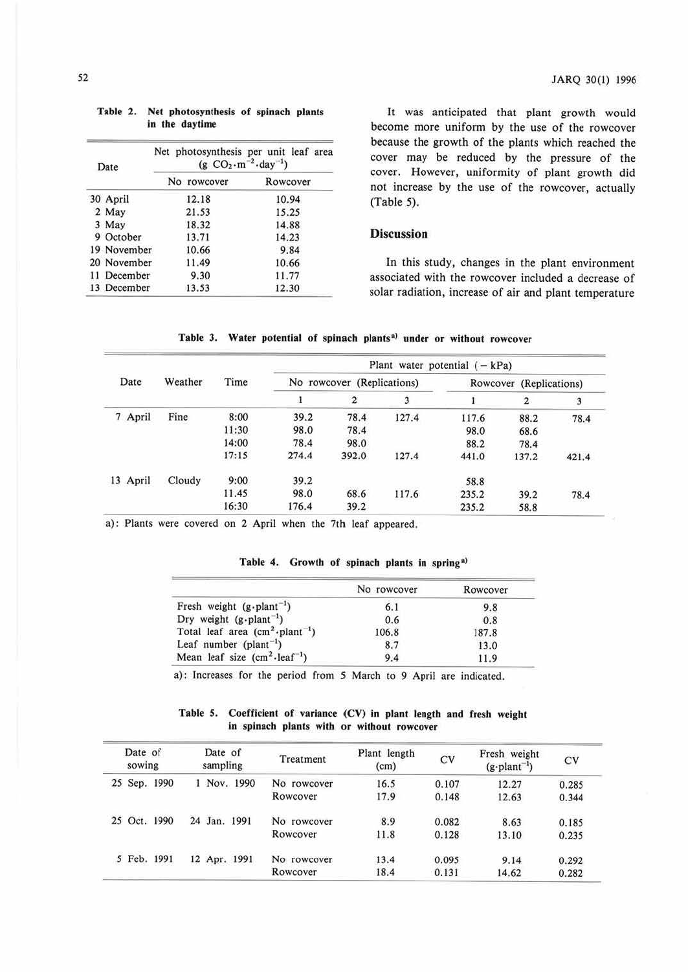| Date        | Net photosynthesis per unit leaf area<br>(g $CO_2 \cdot m^{-2} \cdot day^{-1}$ ) |          |  |  |  |  |  |
|-------------|----------------------------------------------------------------------------------|----------|--|--|--|--|--|
|             | No rowcover                                                                      | Rowcover |  |  |  |  |  |
| 30 April    | 12.18                                                                            | 10.94    |  |  |  |  |  |
| 2 May       | 21.53                                                                            | 15.25    |  |  |  |  |  |
| 3 May       | 18.32                                                                            | 14.88    |  |  |  |  |  |
| 9 October   | 13.71                                                                            | 14.23    |  |  |  |  |  |
| 19 November | 10.66                                                                            | 9.84     |  |  |  |  |  |
| 20 November | 11.49                                                                            | 10.66    |  |  |  |  |  |
| 11 December | 9.30                                                                             | 11.77    |  |  |  |  |  |
| 13 December | 13.53                                                                            | 12.30    |  |  |  |  |  |

|  | Table 2. Net photosynthesis of spinach plants |  |  |
|--|-----------------------------------------------|--|--|
|  | in the daytime                                |  |  |

It was anticipated that plant growth would become more uniform by the use of the rowcover because the growth of the plants which reached the cover may be reduced by the pressure of the cover. However, uniformity of plant growth did not increase by the use of the rowcover, actually (Table 5).

# **Discussion**

In this study, changes in the plant environment associated with the rowcover included a decrease of solar radiation, increase of air and plant temperature

|          |         |       | Plant water potential $(-kPa)$ |                            |       |       |                         |       |  |  |
|----------|---------|-------|--------------------------------|----------------------------|-------|-------|-------------------------|-------|--|--|
| Date     | Weather | Time  |                                | No rowcover (Replications) |       |       | Rowcover (Replications) |       |  |  |
|          |         |       |                                | $\overline{2}$             | 3     |       | 2                       | 3     |  |  |
| 7 April  | Fine    | 8:00  | 39.2                           | 78.4                       | 127.4 | 117.6 | 88.2                    | 78.4  |  |  |
|          |         | 11:30 | 98.0                           | 78.4                       |       | 98.0  | 68.6                    |       |  |  |
|          |         | 14:00 | 78.4                           | 98.0                       |       | 88.2  | 78.4                    |       |  |  |
|          |         | 17:15 | 274.4                          | 392.0                      | 127.4 | 441.0 | 137.2                   | 421.4 |  |  |
| 13 April | Cloudy  | 9:00  | 39.2                           |                            |       | 58.8  |                         |       |  |  |
|          |         | 11.45 | 98.0                           | 68.6                       | 117.6 | 235.2 | 39.2                    | 78.4  |  |  |
|          |         | 16:30 | 176.4                          | 39.2                       |       | 235.2 | 58.8                    |       |  |  |

Table 3. Water potential of spinach plants<sup>a)</sup> under or without rowcover

a): Plants were covered on 2 April when the *7th* leaf appeared.

## Table 4. Growth of spinach plants in spring<sup>a)</sup>

|                                              | No rowcover | Rowcover |
|----------------------------------------------|-------------|----------|
| Fresh weight $(g \cdot plant^{-1})$          | 6.1         | 9.8      |
| Dry weight $(g\text{-}plant^{-1})$           | 0.6         | 0.8      |
| Total leaf area $(cm^2 \cdot plant^{-1})$    | 106.8       | 187.8    |
| Leaf number ( $plan-1$ )                     | 8.7         | 13.0     |
| Mean leaf size $(cm^2$ -leaf <sup>-1</sup> ) | 9.4         | 11.9     |

a): Increases for the period from 5 March to 9 April are indicated.

**Table 5. Coefficient of variance (CV) in plant length and fresh weight**  in spinach plants with or without rowcover

| Date of<br>sowing |              | Date of<br>sampling |              |  | Treatment    | Plant length<br>(cm) | CV   | Fresh weight<br>$(g\text{-}plan^{-1})$ | CV    |       |
|-------------------|--------------|---------------------|--------------|--|--------------|----------------------|------|----------------------------------------|-------|-------|
|                   | 25 Sep. 1990 |                     |              |  | Nov. 1990    | No rowcover          | 16.5 | 0.107                                  | 12.27 | 0.285 |
|                   |              |                     |              |  |              | Rowcover             | 17.9 | 0.148                                  | 12.63 | 0.344 |
|                   | 25 Oct. 1990 |                     | 24 Jan. 1991 |  |              | No rowcover          | 8.9  | 0.082                                  | 8.63  | 0.185 |
|                   |              |                     |              |  |              | Rowcover             | 11.8 | 0.128                                  | 13.10 | 0.235 |
|                   | 5 Feb.       | 1991                |              |  | 12 Apr. 1991 | No rowcover          | 13.4 | 0.095                                  | 9.14  | 0.292 |
|                   |              |                     |              |  |              | Rowcover             | 18.4 | 0.131                                  | 14.62 | 0.282 |